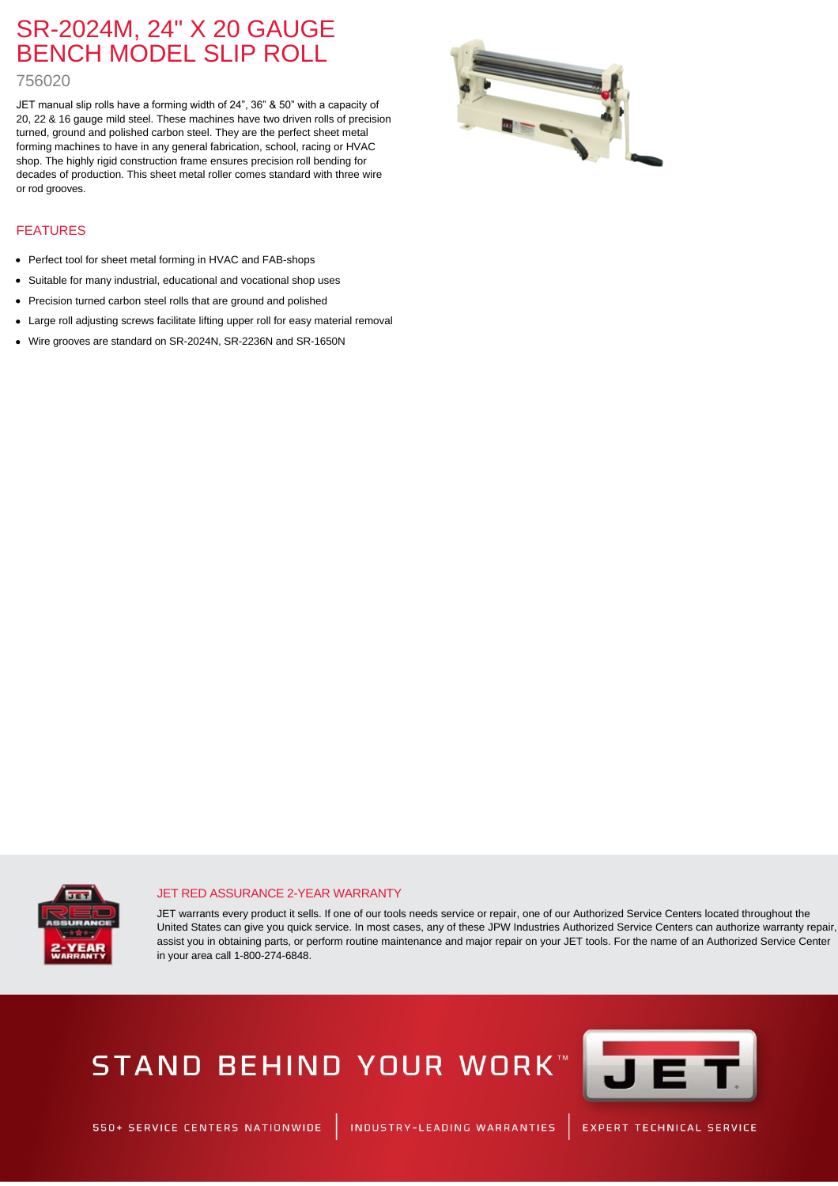### SR-2024M, 24" X 20 GAUGE BENCH MODEL SLIP ROLL

### 756020

JET manual slip rolls have a forming width of 24", 36" & 50" with a capacity of 20, 22 & 16 gauge mild steel. These machines have two driven rolls of precision turned, ground and polished carbon steel. They are the perfect sheet metal forming machines to have in any general fabrication, school, racing or HVAC shop. The highly rigid construction frame ensures precision roll bending for decades of production. This sheet metal roller comes standard with three wire or rod grooves.



### FEATURES

- Perfect tool for sheet metal forming in HVAC and FAB-shops
- Suitable for many industrial, educational and vocational shop uses
- Precision turned carbon steel rolls that are ground and polished
- Large roll adjusting screws facilitate lifting upper roll for easy material removal
- Wire grooves are standard on SR-2024N, SR-2236N and SR-1650N



#### JET RED ASSURANCE 2-YEAR WARRANTY

JET warrants every product it sells. If one of our tools needs service or repair, one of our Authorized Service Centers located throughout the United States can give you quick service. In most cases, any of these JPW Industries Authorized Service Centers can authorize warranty repair, assist you in obtaining parts, or perform routine maintenance and major repair on your JET tools. For the name of an Authorized Service Center in your area call 1-800-274-6848.

# STAND BEHIND YOUR WORK" TETT



S50+ SERVICE CENTERS NATIONWIDE | INDUSTRY-LEADING WARRANTIES | EXPERT TECHNICAL SERVICE